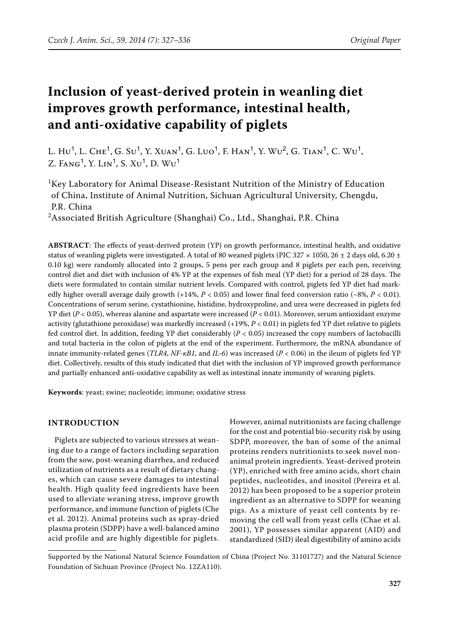# **Inclusion of yeast-derived protein in weanling diet improves growth performance, intestinal health, and anti-oxidative capability of piglets**

L.  $Hu^1$ , L.  $CHE^1$ , G.  $Su^1$ , Y. Xuan<sup>1</sup>, G. Luo<sup>1</sup>, F. Han<sup>1</sup>, Y. Wu<sup>2</sup>, G. Tian<sup>1</sup>, C. Wu<sup>1</sup>, Z. FANG<sup>1</sup>, Y. LIN<sup>1</sup>, S. XU<sup>1</sup>, D. WU<sup>1</sup>

<sup>1</sup>Key Laboratory for Animal Disease-Resistant Nutrition of the Ministry of Education of China, Institute of Animal Nutrition, Sichuan Agricultural University, Chengdu, P.R. China

<sup>2</sup>Associated British Agriculture (Shanghai) Co., Ltd., Shanghai, P.R. China

**ABSTRACT**: The effects of yeast-derived protein (YP) on growth performance, intestinal health, and oxidative status of weanling piglets were investigated. A total of 80 weaned piglets (PIC 327  $\times$  1050, 26  $\pm$  2 days old, 6.20  $\pm$ 0.10 kg) were randomly allocated into 2 groups, 5 pens per each group and 8 piglets per each pen, receiving control diet and diet with inclusion of 4% YP at the expenses of fish meal (YP diet) for a period of 28 days. The diets were formulated to contain similar nutrient levels. Compared with control, piglets fed YP diet had markedly higher overall average daily growth (+14%, *P* < 0.05) and lower final feed conversion ratio (−8%, *P* < 0.01). Concentrations of serum serine, cystathionine, histidine, hydroxyproline, and urea were decreased in piglets fed YP diet (*P* < 0.05), whereas alanine and aspartate were increased (*P* < 0.01). Moreover, serum antioxidant enzyme activity (glutathione peroxidase) was markedly increased (+19%, *P* < 0.01) in piglets fed YP diet relative to piglets fed control diet. In addition, feeding YP diet considerably (*P* < 0.05) increased the copy numbers of lactobacilli and total bacteria in the colon of piglets at the end of the experiment. Furthermore, the mRNA abundance of innate immunity-related genes (*TLR4*, *NF-κB1*, and *IL-6*) was increased (*P* < 0.06) in the ileum of piglets fed YP diet. Collectively, results of this study indicated that diet with the inclusion of YP improved growth performance and partially enhanced anti-oxidative capability as well as intestinal innate immunity of weaning piglets.

**Keywords**: yeast; swine; nucleotide; immune; oxidative stress

# **INTRODUCTION**

Piglets are subjected to various stresses at weaning due to a range of factors including separation from the sow, post-weaning diarrhea, and reduced utilization of nutrients as a result of dietary changes, which can cause severe damages to intestinal health. High quality feed ingredients have been used to alleviate weaning stress, improve growth performance, and immune function of piglets (Che et al. 2012). Animal proteins such as spray-dried plasma protein (SDPP) have a well-balanced amino acid profile and are highly digestible for piglets.

However, animal nutritionists are facing challenge for the cost and potential bio-security risk by using SDPP, moreover, the ban of some of the animal proteins renders nutritionists to seek novel nonanimal protein ingredients. Yeast-derived protein (YP), enriched with free amino acids, short chain peptides, nucleotides, and inositol (Pereira et al. 2012) has been proposed to be a superior protein ingredient as an alternative to SDPP for weaning pigs. As a mixture of yeast cell contents by removing the cell wall from yeast cells (Chae et al. 2001), YP possesses similar apparent (AID) and standardized (SID) ileal digestibility of amino acids

Supported by the National Natural Science Foundation of China (Project No. 31101727) and the Natural Science Foundation of Sichuan Province (Project No. 12ZA110).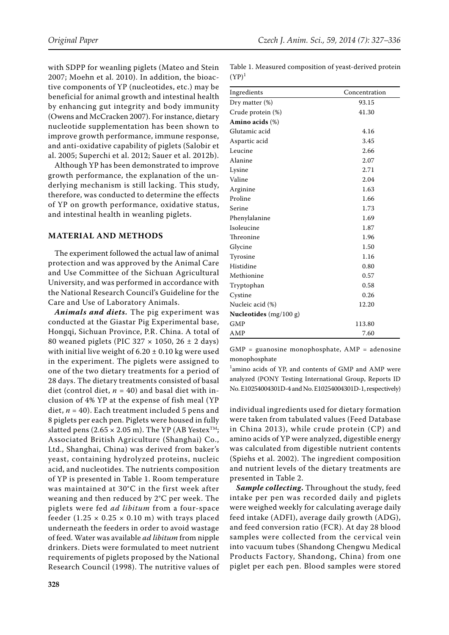with SDPP for weanling piglets (Mateo and Stein 2007; Moehn et al. 2010). In addition, the bioactive components of YP (nucleotides, etc.) may be beneficial for animal growth and intestinal health by enhancing gut integrity and body immunity (Owens and McCracken 2007). For instance, dietary nucleotide supplementation has been shown to improve growth performance, immune response, and anti-oxidative capability of piglets (Salobir et al. 2005; Superchi et al. 2012; Sauer et al. 2012b).

Although YP has been demonstrated to improve growth performance, the explanation of the underlying mechanism is still lacking. This study, therefore, was conducted to determine the effects of YP on growth performance, oxidative status, and intestinal health in weanling piglets.

# **MATERIAL AND METHODS**

The experiment followed the actual law of animal protection and was approved by the Animal Care and Use Committee of the Sichuan Agricultural University, and was performed in accordance with the National Research Council's Guideline for the Care and Use of Laboratory Animals.

*Animals and diets.* The pig experiment was conducted at the Giastar Pig Experimental base, Hongqi, Sichuan Province, P.R. China. A total of 80 weaned piglets (PIC 327 × 1050, 26 ± 2 days) with initial live weight of  $6.20 \pm 0.10$  kg were used in the experiment. The piglets were assigned to one of the two dietary treatments for a period of 28 days. The dietary treatments consisted of basal diet (control diet,  $n = 40$ ) and basal diet with inclusion of 4% YP at the expense of fish meal (YP diet, *n* = 40). Each treatment included 5 pens and 8 piglets per each pen. Piglets were housed in fully slatted pens (2.65  $\times$  2.05 m). The YP (AB Yestex<sup>TM</sup>; Associated British Agriculture (Shanghai) Co., Ltd., Shanghai, China) was derived from baker's yeast, containing hydrolyzed proteins, nucleic acid, and nucleotides. The nutrients composition of YP is presented in Table 1. Room temperature was maintained at 30°C in the first week after weaning and then reduced by 2°C per week. The piglets were fed *ad libitum* from a four-space feeder  $(1.25 \times 0.25 \times 0.10 \text{ m})$  with trays placed underneath the feeders in order to avoid wastage of feed. Water was available *ad libitum* from nipple drinkers. Diets were formulated to meet nutrient requirements of piglets proposed by the National Research Council (1998). The nutritive values of

Table 1. Measured composition of yeast-derived protein  $(YP)^1$ 

| Ingredients              | Concentration |
|--------------------------|---------------|
| Dry matter (%)           | 93.15         |
| Crude protein (%)        | 41.30         |
| Amino acids $(\%)$       |               |
| Glutamic acid            | 4.16          |
| Aspartic acid            | 3.45          |
| Leucine                  | 2.66          |
| Alanine                  | 2.07          |
| Lysine                   | 2.71          |
| Valine                   | 2.04          |
| Arginine                 | 1.63          |
| Proline                  | 1.66          |
| Serine                   | 1.73          |
| Phenylalanine            | 1.69          |
| Isoleucine               | 1.87          |
| Threonine                | 1.96          |
| Glycine                  | 1.50          |
| Tyrosine                 | 1.16          |
| Histidine                | 0.80          |
| Methionine               | 0.57          |
| Tryptophan               | 0.58          |
| Cystine                  | 0.26          |
| Nucleic acid (%)         | 12.20         |
| Nucleotides $(mg/100 g)$ |               |
| <b>GMP</b>               | 113.80        |
| AMP                      | 7.60          |

GMP = guanosine monophosphate, AMP = adenosine monophosphate

1 amino acids of YP, and contents of GMP and AMP were analyzed (PONY Testing International Group, Reports ID No. E10254004301D-4 and No. E10254004301D-1, respectively)

individual ingredients used for dietary formation were taken from tabulated values (Feed Database in China 2013), while crude protein (CP) and amino acids of YP were analyzed, digestible energy was calculated from digestible nutrient contents (Spiehs et al. 2002). The ingredient composition and nutrient levels of the dietary treatments are presented in Table 2.

*Sample collecting***.** Throughout the study, feed intake per pen was recorded daily and piglets were weighed weekly for calculating average daily feed intake (ADFI), average daily growth (ADG), and feed conversion ratio (FCR). At day 28 blood samples were collected from the cervical vein into vacuum tubes (Shandong Chengwu Medical Products Factory, Shandong, China) from one piglet per each pen. Blood samples were stored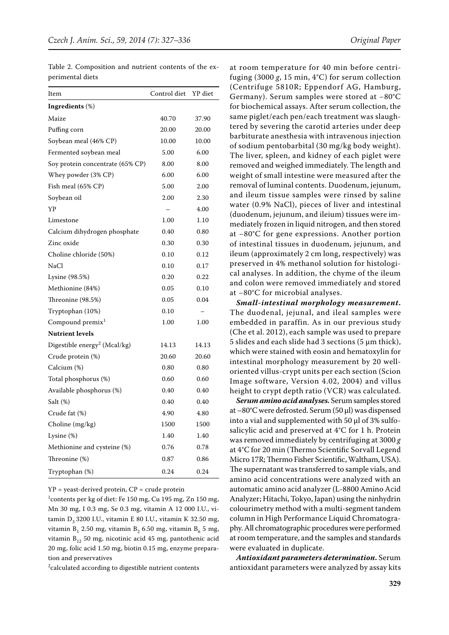| Item                                     | Control diet | YP diet |
|------------------------------------------|--------------|---------|
| Ingredients (%)                          |              |         |
| Maize                                    | 40.70        | 37.90   |
| Puffing corn                             | 20.00        | 20.00   |
| Soybean meal (46% CP)                    | 10.00        | 10.00   |
| Fermented soybean meal                   | 5.00         | 6.00    |
| Soy protein concentrate (65% CP)         | 8.00         | 8.00    |
| Whey powder (3% CP)                      | 6.00         | 6.00    |
| Fish meal (65% CP)                       | 5.00         | 2.00    |
| Soybean oil                              | 2.00         | 2.30    |
| YP                                       |              | 4.00    |
| Limestone                                | 1.00         | 1.10    |
| Calcium dihydrogen phosphate             | 0.40         | 0.80    |
| Zinc oxide                               | 0.30         | 0.30    |
| Choline chloride (50%)                   | 0.10         | 0.12    |
| NaCl                                     | 0.10         | 0.17    |
| Lysine (98.5%)                           | 0.20         | 0.22    |
| Methionine (84%)                         | 0.05         | 0.10    |
| Threonine (98.5%)                        | 0.05         | 0.04    |
| Tryptophan (10%)                         | 0.10         |         |
| Compound premix <sup>1</sup>             | 1.00         | 1.00    |
| <b>Nutrient levels</b>                   |              |         |
| Digestible energy <sup>2</sup> (Mcal/kg) | 14.13        | 14.13   |
| Crude protein (%)                        | 20.60        | 20.60   |
| Calcium (%)                              | 0.80         | 0.80    |
| Total phosphorus (%)                     | 0.60         | 0.60    |
| Available phosphorus (%)                 | 0.40         | 0.40    |
| Salt (%)                                 | 0.40         | 0.40    |
| Crude fat (%)                            | 4.90         | 4.80    |
| Choline (mg/kg)                          | 1500         | 1500    |
| Lysine (%)                               | 1.40         | 1.40    |
| Methionine and cysteine (%)              | 0.76         | 0.78    |
| Threonine (%)                            | 0.87         | 0.86    |
| Tryptophan (%)                           | 0.24         | 0.24    |

Table 2. Composition and nutrient contents of the experimental diets

 $YP$  = yeast-derived protein,  $CP$  = crude protein

1 contents per kg of diet: Fe 150 mg, Cu 195 mg, Zn 150 mg, Mn 30 mg, I 0.3 mg, Se 0.3 mg, vitamin A 12 000 I.U., vitamin  $D_3$  3200 I.U., vitamin E 80 I.U., vitamin K 32.50 mg, vitamin B<sub>1</sub> 2.50 mg, vitamin B<sub>2</sub> 6.50 mg, vitamin B<sub>6</sub> 5 mg, vitamin  $B_{12}$  50 mg, nicotinic acid 45 mg, pantothenic acid 20 mg, folic acid 1.50 mg, biotin 0.15 mg, enzyme preparation and preservatives

 $2$ calculated according to digestible nutrient contents

at room temperature for 40 min before centrifuging (3000 *g*, 15 min, 4°C) for serum collection (Centrifuge 5810R; Eppendorf AG, Hamburg, Germany). Serum samples were stored at −80°C for biochemical assays. After serum collection, the same piglet/each pen/each treatment was slaughtered by severing the carotid arteries under deep barbiturate anesthesia with intravenous injection of sodium pentobarbital (30 mg/kg body weight). The liver, spleen, and kidney of each piglet were removed and weighed immediately. The length and weight of small intestine were measured after the removal of luminal contents. Duodenum, jejunum, and ileum tissue samples were rinsed by saline water (0.9% NaCl), pieces of liver and intestinal (duodenum, jejunum, and ileium) tissues were immediately frozen in liquid nitrogen, and then stored at −80°C for gene expressions. Another portion of intestinal tissues in duodenum, jejunum, and ileum (approximately 2 cm long, respectively) was preserved in 4% methanol solution for histological analyses. In addition, the chyme of the ileum and colon were removed immediately and stored at −80°C for microbial analyses.

*Small-intestinal morphology measurement***.**  The duodenal, jejunal, and ileal samples were embedded in paraffin. As in our previous study (Che et al. 2012), each sample was used to prepare 5 slides and each slide had 3 sections (5  $\mu$ m thick), which were stained with eosin and hematoxylin for intestinal morphology measurement by 20 welloriented villus-crypt units per each section (Scion Image software, Version 4.02, 2004) and villus height to crypt depth ratio (VCR) was calculated.

*Serum amino acid analyses.* Serum samples stored at –80°C were defrosted. Serum (50 μl) was dispensed into a vial and supplemented with 50 μl of 3% sulfosalicylic acid and preserved at 4°C for 1 h. Protein was removed immediately by centrifuging at 3000 *g* at 4°C for 20 min (Thermo Scientific Sorvall Legend Micro 17R; Thermo Fisher Scientific, Waltham, USA). The supernatant was transferred to sample vials, and amino acid concentrations were analyzed with an automatic amino acid analyzer (L-8800 Amino Acid Analyzer; Hitachi, Tokyo, Japan) using the ninhydrin colourimetry method with a multi-segment tandem column in High Performance Liquid Chromatography. All chromatographic procedures were performed at room temperature, and the samples and standards were evaluated in duplicate.

*Antioxidant parameters determination***.** Serum antioxidant parameters were analyzed by assay kits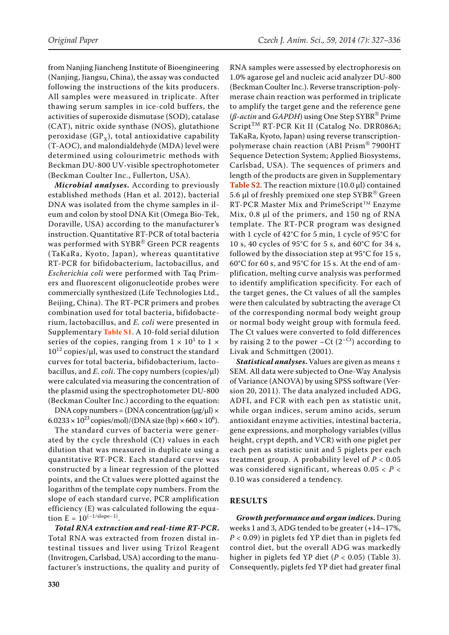from Nanjing Jiancheng Institute of Bioengineering (Nanjing, Jiangsu, China), the assay was conducted following the instructions of the kits producers. All samples were measured in triplicate. After thawing serum samples in ice-cold buffers, the activities of superoxide dismutase (SOD), catalase (CAT), nitric oxide synthase (NOS), glutathione peroxidase (GP<sub>x</sub>), total antioxidative capability (T-AOC), and malondialdehyde (MDA) level were determined using colourimetric methods with Beckman DU-800 UV-visible spectrophotometer (Beckman Coulter Inc., Fullerton, USA).

*Microbial analyses***.** According to previously established methods (Han et al. 2012), bacterial DNA was isolated from the chyme samples in ileum and colon by stool DNA Kit (Omega Bio-Tek, Doraville, USA) according to the manufacturer's instruction. Quantitative RT-PCR of total bacteria was performed with SYBR® Green PCR reagents (TaKaRa, Kyoto, Japan), whereas quantitative RT-PCR for bifidobacterium, lactobacillus, and *Escherichia coli* were performed with Taq Primers and fluorescent oligonucleotide probes were commercially synthesized (Life Technologies Ltd., Beijing, China). The RT-PCR primers and probes combination used for total bacteria, bifidobacterium, lactobacillus, and *E. coli* were presented in Supplementary **[Table S1](http://www.agriculturejournals.cz/publicFiles/127203.pdf)**. A 10-fold serial dilution series of the copies, ranging from  $1 \times 10^{1}$  to  $1 \times$  $10^{12}$  copies/ $\mu$ l, was used to construct the standard curves for total bacteria, bifidobacterium, lactobacillus, and *E. coli*. The copy numbers (copies/μl) were calculated via measuring the concentration of the plasmid using the spectrophotometer DU-800 (Beckman Coulter Inc.) according to the equation:

DNA copy numbers = (DNA concentration  $(\mu g/\mu) \times$  $6.0233 \times 10^{23}$  copies/mol)/(DNA size (bp)  $\times 660 \times 10^{6}$ ).

The standard curves of bacteria were generated by the cycle threshold (Ct) values in each dilution that was measured in duplicate using a quantitative RT-PCR. Each standard curve was constructed by a linear regression of the plotted points, and the Ct values were plotted against the logarithm of the template copy numbers. From the slope of each standard curve, PCR amplification efficiency (E) was calculated following the equation  $E = 10^{(-1/slope - 1)}$ .

*Total RNA extraction and real-time RT-PCR***.**  Total RNA was extracted from frozen distal intestinal tissues and liver using Trizol Reagent (Invitrogen, Carlsbad, USA) according to the manufacturer's instructions, the quality and purity of

RNA samples were assessed by electrophoresis on 1.0% agarose gel and nucleic acid analyzer DU-800 (Beckman Coulter Inc.). Reverse transcription-polymerase chain reaction was performed in triplicate to amplify the target gene and the reference gene (*β-actin* and *GAPDH*) using One Step SYBR® Prime Script<sup>TM</sup> RT-PCR Kit II (Catalog No. DRR086A; TaKaRa, Kyoto, Japan) using reverse transcriptionpolymerase chain reaction (ABI Prism® 7900HT Sequence Detection System; Applied Biosystems, Carlsbad, USA). The sequences of primers and length of the products are given in Supplementary **[Table S2](http://www.agriculturejournals.cz/publicFiles/127204.pdf)**. The reaction mixture (10.0 μl) contained 5.6 μl of freshly premixed one step SYBR® Green RT-PCR Master Mix and PrimeScript™ Enzyme Mix, 0.8 μl of the primers, and 150 ng of RNA template. The RT-PCR program was designed with 1 cycle of 42°C for 5 min, 1 cycle of 95°C for 10 s, 40 cycles of 95°C for 5 s, and 60°C for 34 s, followed by the dissociation step at 95°C for 15 s, 60°C for 60 s, and 95°C for 15 s. At the end of amplification, melting curve analysis was performed to identify amplification specificity. For each of the target genes, the Ct values of all the samples were then calculated by subtracting the average Ct of the corresponding normal body weight group or normal body weight group with formula feed. The Ct values were converted to fold differences by raising 2 to the power  $-Ct$  (2<sup>-Ct</sup>) according to Livak and Schmittgen (2001).

*Statistical analyses***.** Values are given as means ± SEM. All data were subjected to One-Way Analysis of Variance (ANOVA) by using SPSS software (Version 20, 2011). The data analyzed included ADG, ADFI, and FCR with each pen as statistic unit, while organ indices, serum amino acids, serum antioxidant enzyme activities, intestinal [bacteria](app:ds:bacteria), gene expressions, and morphology variables (villus height, crypt depth, and VCR) with one piglet per each pen as statistic unit and 5 piglets per each treatment group. A probability level of  $P < 0.05$ was considered significant, whereas 0.05 < *P* < 0.10 was considered a tendency.

### **RESULTS**

*Growth performance and organ indices***.** During weeks 1 and 3, ADG tended to be greater (+14~17%, *P* < 0.09) in piglets fed YP diet than in piglets fed control diet, but the overall ADG was markedly higher in piglets fed YP diet (*P* < 0.05) (Table 3). Consequently, piglets fed YP diet had greater final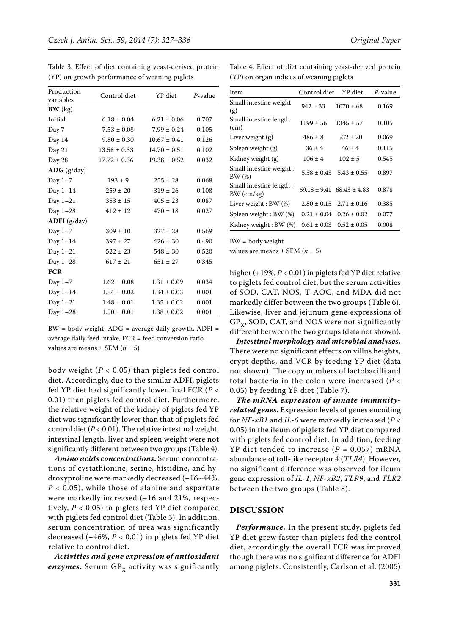| Production<br>variables | Control diet     | YP diet          | $P$ -value |
|-------------------------|------------------|------------------|------------|
| BW (kg)                 |                  |                  |            |
| Initial                 | $6.18 \pm 0.04$  | $6.21 \pm 0.06$  | 0.707      |
| Day 7                   | $7.53 \pm 0.08$  | $7.99 \pm 0.24$  | 0.105      |
| Day 14                  | $9.80 \pm 0.30$  | $10.67 \pm 0.41$ | 0.126      |
| Day 21                  | $13.58 \pm 0.33$ | $14.70 \pm 0.51$ | 0.102      |
| Day 28                  | $17.72 \pm 0.36$ | $19.38 \pm 0.52$ | 0.032      |
| $\bf{ADG}$ (g/day)      |                  |                  |            |
| Day $1-7$               | $193 \pm 9$      | $255 \pm 28$     | 0.068      |
| Day $1-14$              | $259 \pm 20$     | $319 \pm 26$     | 0.108      |
| Day $1-21$              | $353 \pm 15$     | $405 \pm 23$     | 0.087      |
| Day $1-28$              | $412 \pm 12$     | $470 \pm 18$     | 0.027      |
| $ADFI$ (g/day)          |                  |                  |            |
| Day $1-7$               | $309 \pm 10$     | $327 \pm 28$     | 0.569      |
| Day $1-14$              | $397 \pm 27$     | $426 \pm 30$     | 0.490      |
| Day 1-21                | $522 \pm 23$     | $548 \pm 30$     | 0.520      |
| Day 1-28                | $617 \pm 21$     | $651 \pm 27$     | 0.345      |
| <b>FCR</b>              |                  |                  |            |
| Day $1-7$               | $1.62 \pm 0.08$  | $1.31 \pm 0.09$  | 0.034      |
| Day $1-14$              | $1.54 \pm 0.02$  | $1.34 \pm 0.03$  | 0.001      |
| Day $1-21$              | $1.48 \pm 0.01$  | $1.35 \pm 0.02$  | 0.001      |
| Day 1-28                | $1.50 \pm 0.01$  | $1.38 \pm 0.02$  | 0.001      |

Table 3. Effect of diet containing yeast-derived protein (YP) on growth performance of weaning piglets

 $BW = body weight, ADG = average daily growth, ADFI =$ average daily feed intake, FCR = feed conversion ratio values are means  $\pm$  SEM ( $n = 5$ )

body weight  $(P < 0.05)$  than piglets fed control diet. Accordingly, due to the similar ADFI, piglets fed YP diet had significantly lower final FCR (*P* < 0.01) than piglets fed control diet. Furthermore, the relative weight of the kidney of piglets fed YP diet was significantly lower than that of piglets fed control diet (*P* < 0.01). The relative intestinal weight, intestinal length, liver and spleen weight were not significantly different between two groups (Table 4).

*Amino acids concentrations***.** Serum concentrations of cystathionine, serine, histidine, and hydroxyproline were markedly decreased (−16~44%, *P* < 0.05), while those of alanine and aspartate were markedly increased (+16 and 21%, respectively,  $P < 0.05$ ) in piglets fed YP diet compared with piglets fed control diet (Table 5). In addition, serum concentration of urea was significantly decreased (−46%, *P* < 0.01) in piglets fed YP diet relative to control diet.

*Activities and gene expression of antioxidant enzymes*. Serum  $GP_x$  activity was significantly Table 4. Effect of diet containing yeast-derived protein (YP) on organ indices of weaning piglets

| Item                                    | Control diet                      | YP diet         | P-value |
|-----------------------------------------|-----------------------------------|-----------------|---------|
| Small intestine weight<br>(g)           | $942 \pm 33$                      | $1070 \pm 68$   | 0.169   |
| Small intestine length<br>(cm)          | $1199 \pm 56$                     | $1345 \pm 57$   | 0.105   |
| Liver weight $(g)$                      | $486 \pm 8$                       | $532 \pm 20$    | 0.069   |
| Spleen weight (g)                       | $36 \pm 4$                        | $46 + 4$        | 0.115   |
| Kidney weight (g)                       | $106 \pm 4$                       | $102 \pm 5$     | 0.545   |
| Small intestine weight:<br>BW(%)        | $5.38 \pm 0.43$                   | $5.43 \pm 0.55$ | 0.897   |
| Small intestine length:<br>$BW$ (cm/kg) | $69.18 \pm 9.41$ $68.43 \pm 4.83$ |                 | 0.878   |
| Liver weight : BW (%)                   | $2.80 \pm 0.15$                   | $2.71 \pm 0.16$ | 0.385   |
| Spleen weight: BW (%)                   | $0.21 \pm 0.04$                   | $0.26 \pm 0.02$ | 0.077   |
| Kidney weight: BW (%)                   | $0.61 \pm 0.03$                   | $0.52 \pm 0.05$ | 0.008   |

BW = body weight

values are means  $\pm$  SEM ( $n = 5$ )

higher (+19%, *P* < 0.01) in piglets fed YP diet relative to piglets fed control diet, but the serum activities of SOD, CAT, NOS, T-AOC, and MDA did not markedly differ between the two groups (Table 6). Likewise, liver and jejunum gene expressions of  $GP<sub>x</sub>$ , SOD, CAT, and NOS were not significantly different between the two groups (data not shown).

*Intestinal morphology and microbial analyses***.**  There were no significant effects on villus heights, crypt depths, and VCR by feeding YP diet (data not shown). The copy numbers of lactobacilli and total bacteria in the colon were increased (*P* < 0.05) by feeding YP diet (Table 7).

*The mRNA expression of innate immunityrelated genes***.** Expression levels of genes encoding for *NF-κB1* and *IL-6* were markedly increased (*P* < 0.05) in the ileum of piglets fed YP diet compared with piglets fed control diet. In addition, feeding YP diet tended to increase (*P* = 0.057) mRNA abundance of toll-like receptor 4 (*TLR4*). However, no significant difference was observed for ileum gene expression of *IL-1*, *NF-κB2*, *TLR9*, and *TLR2* between the two groups (Table 8).

#### **DISCUSSION**

*Performance.* In the present study, piglets fed YP diet grew faster than piglets fed the control diet, accordingly the overall FCR was improved though there was no significant difference for ADFI among piglets. Consistently, Carlson et al. (2005)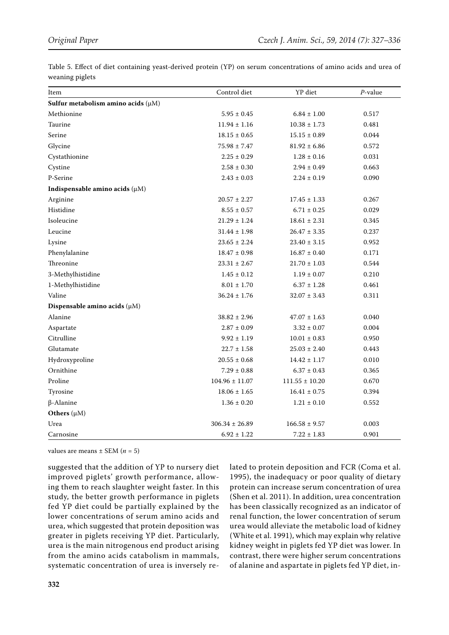| Item                                    | Control diet       | YP diet            | $P$ -value |
|-----------------------------------------|--------------------|--------------------|------------|
| Sulfur metabolism amino acids $(\mu M)$ |                    |                    |            |
| Methionine                              | $5.95 \pm 0.45$    | $6.84 \pm 1.00$    | 0.517      |
| Taurine                                 | $11.94 \pm 1.16$   | $10.38 \pm 1.73$   | 0.481      |
| Serine                                  | $18.15 \pm 0.65$   | $15.15 \pm 0.89$   | 0.044      |
| Glycine                                 | $75.98 \pm 7.47$   | $81.92 \pm 6.86$   | 0.572      |
| Cystathionine                           | $2.25 \pm 0.29$    | $1.28 \pm 0.16$    | 0.031      |
| Cystine                                 | $2.58\pm0.30$      | $2.94 \pm 0.49$    | 0.663      |
| P-Serine                                | $2.43 \pm 0.03$    | $2.24 \pm 0.19$    | 0.090      |
| Indispensable amino acids $(\mu M)$     |                    |                    |            |
| Arginine                                | $20.57 \pm 2.27$   | $17.45 \pm 1.33$   | 0.267      |
| Histidine                               | $8.55\pm0.57$      | $6.71 \pm 0.25$    | 0.029      |
| Isoleucine                              | $21.29 \pm 1.24$   | $18.61 \pm 2.31$   | 0.345      |
| Leucine                                 | $31.44 \pm 1.98$   | $26.47 \pm 3.35$   | 0.237      |
| Lysine                                  | $23.65 \pm 2.24$   | $23.40 \pm 3.15$   | 0.952      |
| Phenylalanine                           | $18.47 \pm 0.98$   | $16.87 \pm 0.40$   | 0.171      |
| Threonine                               | $23.31 \pm 2.67$   | $21.70 \pm 1.03$   | 0.544      |
| 3-Methylhistidine                       | $1.45 \pm 0.12$    | $1.19 \pm 0.07$    | 0.210      |
| 1-Methylhistidine                       | $8.01 \pm 1.70$    | $6.37 \pm 1.28$    | 0.461      |
| Valine                                  | $36.24 \pm 1.76$   | $32.07 \pm 3.43$   | 0.311      |
| Dispensable amino acids $(\mu M)$       |                    |                    |            |
| Alanine                                 | $38.82 \pm 2.96$   | $47.07 \pm 1.63$   | 0.040      |
| Aspartate                               | $2.87 \pm 0.09$    | $3.32 \pm 0.07$    | 0.004      |
| Citrulline                              | $9.92 \pm 1.19$    | $10.01 \pm 0.83$   | 0.950      |
| Glutamate                               | $22.7 \pm 1.58$    | $25.03 \pm 2.40$   | 0.443      |
| Hydroxyproline                          | $20.55 \pm 0.68$   | $14.42 \pm 1.17$   | 0.010      |
| Ornithine                               | $7.29 \pm 0.88$    | $6.37 \pm 0.43$    | 0.365      |
| Proline                                 | $104.96 \pm 11.07$ | $111.55 \pm 10.20$ | 0.670      |
| Tyrosine                                | $18.06 \pm 1.65$   | $16.41 \pm 0.75$   | 0.394      |
| $\beta$ -Alanine                        | $1.36 \pm 0.20$    | $1.21 \pm 0.10$    | 0.552      |
| Others $(\mu M)$                        |                    |                    |            |
| Urea                                    | $306.34 \pm 26.89$ | $166.58 \pm 9.57$  | 0.003      |
| Carnosine                               | $6.92 \pm 1.22$    | $7.22 \pm 1.83$    | 0.901      |

Table 5. Effect of diet containing yeast-derived protein (YP) on serum concentrations of amino acids and urea of weaning piglets

values are means  $\pm$  SEM ( $n = 5$ )

suggested that the addition of YP to nursery diet improved piglets' growth performance, allowing them to reach slaughter weight faster. In this study, the better growth performance in piglets fed YP diet could be partially explained by the lower concentrations of serum amino acids and urea, which suggested that protein deposition was greater in piglets receiving YP diet. Particularly, urea is the main nitrogenous end product arising from the amino acids catabolism in mammals, systematic concentration of urea is inversely related to protein deposition and FCR (Coma et al. 1995), the inadequacy or poor quality of dietary protein can increase serum concentration of urea (Shen et al. 2011). In addition, urea concentration has been classically recognized as an indicator of renal function, the lower concentration of serum urea would alleviate the metabolic load of kidney (White et al. 1991), which may explain why relative kidney weight in piglets fed YP diet was lower. In contrast, there were higher serum concentrations of alanine and aspartate in piglets fed YP diet, in-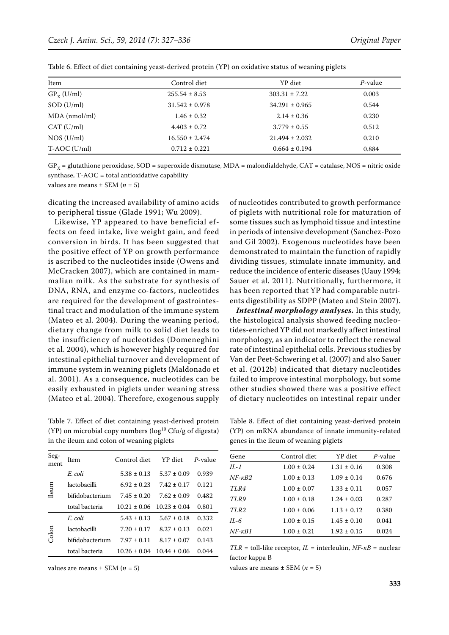| Item            | Control diet       | YP diet            | $P$ -value |
|-----------------|--------------------|--------------------|------------|
| $GP_{x}$ (U/ml) | $255.54 \pm 8.53$  | $303.31 \pm 7.22$  | 0.003      |
| SOD (U/ml)      | $31.542 \pm 0.978$ | $34.291 \pm 0.965$ | 0.544      |
| $MDA$ (nmol/ml) | $1.46 \pm 0.32$    | $2.14 \pm 0.36$    | 0.230      |
| CAT (U/ml)      | $4.403 \pm 0.72$   | $3.779 \pm 0.55$   | 0.512      |
| NOS (U/ml)      | $16.550 \pm 2.474$ | $21.494 \pm 2.032$ | 0.210      |
| $T- AOC (U/ml)$ | $0.712 \pm 0.221$  | $0.664 \pm 0.194$  | 0.884      |

Table 6. Effect of diet containing yeast-derived protein (YP) on oxidative status of weaning piglets

 $GP<sub>x</sub> =$  glutathione peroxidase, SOD = superoxide dismutase, MDA = malondialdehyde, CAT = catalase, NOS = nitric oxide synthase,  $T-AOC =$  total antioxidative capability

values are means  $\pm$  SEM ( $n = 5$ )

dicating the increased availability of amino acids to peripheral tissue (Glade 1991; Wu 2009).

Likewise, YP appeared to have beneficial effects on feed intake, live weight gain, and feed conversion in birds. It has been suggested that the positive effect of YP on growth performance is ascribed to the nucleotides inside (Owens and McCracken 2007), which are contained in mammalian milk. As the substrate for synthesis of DNA, RNA, and enzyme co-factors, nucleotides are required for the development of gastrointestinal tract and modulation of the immune system (Mateo et al. 2004). During the weaning period, dietary change from milk to solid diet leads to the insufficiency of nucleotides (Domeneghini et al. 2004), which is however highly required for intestinal epithelial turnover and development of immune system in weaning piglets (Maldonado et al. 2001). As a consequence, nucleotides can be easily exhausted in piglets under weaning stress (Mateo et al. 2004). Therefore, exogenous supply

Table 7. Effect of diet containing yeast-derived protein (YP) on microbial copy numbers ( $log^{10}$  Cfu/g of digesta) in the ileum and colon of weaning piglets

| Seg-<br>ment | Item            | Control diet     | YP diet          | P-value |
|--------------|-----------------|------------------|------------------|---------|
|              | E. coli         | $5.38 \pm 0.13$  | $5.37 \pm 0.09$  | 0.939   |
| <b>Ileum</b> | lactobacilli    | $6.92 \pm 0.23$  | $7.42 \pm 0.17$  | 0.121   |
|              | bifidobacterium | $7.45 + 0.20$    | $7.62 \pm 0.09$  | 0.482   |
|              | total bacteria  | $10.21 \pm 0.06$ | $10.23 \pm 0.04$ | 0.801   |
| Colon        | E. coli         | $5.43 \pm 0.13$  | $5.67 \pm 0.18$  | 0.332   |
|              | lactobacilli    | $7.20 \pm 0.17$  | $8.27 \pm 0.13$  | 0.021   |
|              | bifidobacterium | $7.97 \pm 0.11$  | $8.17 \pm 0.07$  | 0.143   |
|              | total bacteria  | $10.26 \pm 0.04$ | $10.44 \pm 0.06$ | 0.044   |

values are means  $\pm$  SEM ( $n = 5$ )

of nucleotides contributed to growth performance of piglets with nutritional role for maturation of some tissues such as lymphoid tissue and intestine in periods of intensive development (Sanchez-Pozo and Gil 2002). Exogenous nucleotides have been demonstrated to maintain the function of rapidly dividing tissues, stimulate innate immunity, and reduce the incidence of enteric diseases (Uauy 1994; Sauer et al. 2011). Nutritionally, furthermore, it has been reported that YP had comparable nutrients digestibility as SDPP (Mateo and Stein 2007).

*Intestinal morphology analyses.* In this study, the histological analysis showed feeding nucleotides-enriched YP did not markedly affect intestinal morphology, as an indicator to reflect the renewal rate of intestinal epithelial cells. Previous studies by Van der Peet-Schwering et al. (2007) and also Sauer et al. (2012b) indicated that dietary nucleotides failed to improve intestinal morphology, but some other studies showed there was a positive effect of dietary nucleotides on intestinal repair under

Table 8. Effect of diet containing yeast-derived protein (YP) on mRNA abundance of innate immunity-related genes in the ileum of weaning piglets

| Gene               | Control diet    | YP diet         | P-value |
|--------------------|-----------------|-----------------|---------|
| $IL-1$             | $1.00 \pm 0.24$ | $1.31 \pm 0.16$ | 0.308   |
| $NF$ - $\kappa B2$ | $1.00 \pm 0.13$ | $1.09 \pm 0.14$ | 0.676   |
| TLR4               | $1.00 \pm 0.07$ | $1.33 \pm 0.11$ | 0.057   |
| TLR9               | $1.00 \pm 0.18$ | $1.24 + 0.03$   | 0.287   |
| TLR <sub>2</sub>   | $1.00 \pm 0.06$ | $1.13 + 0.12$   | 0.380   |
| $IL-6$             | $1.00 \pm 0.15$ | $1.45 \pm 0.10$ | 0.041   |
| $NF$ - $\kappa B1$ | $1.00 \pm 0.21$ | $1.92 \pm 0.15$ | 0.024   |

*TLR* = toll-like receptor, *IL* = interleukin, *NF-κB* = nuclear factor kappa B

values are means  $\pm$  SEM ( $n = 5$ )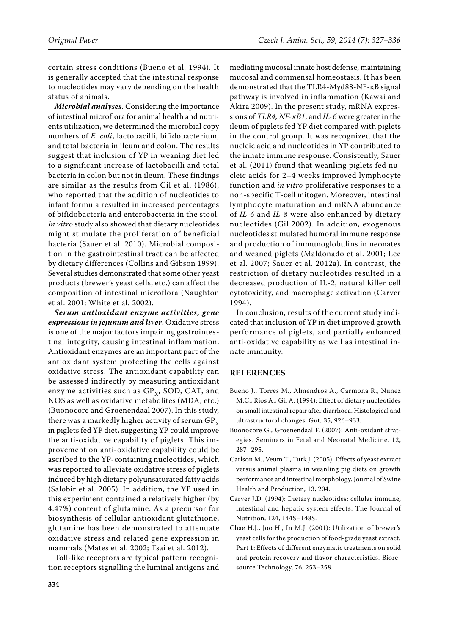certain stress conditions (Bueno et al. 1994). It is generally accepted that the intestinal response to nucleotides may vary depending on the health status of animals.

*Microbial analyses.* Considering the importance of intestinal microflora for animal health and nutrients utilization, we determined the microbial copy numbers of *E. coli*, lactobacilli, bifidobacterium, and total bacteria in ileum and colon. The results suggest that inclusion of YP in weaning diet led to a significant increase of lactobacilli and total bacteria in colon but not in ileum. These findings are similar as the results from Gil et al. (1986), who reported that the addition of nucleotides to infant formula resulted in increased percentages of bifidobacteria and enterobacteria in the stool. *In vitro* study also showed that dietary nucleotides might stimulate the proliferation of beneficial bacteria (Sauer et al. 2010). Microbial composition in the gastrointestinal tract can be affected by dietary differences (Collins and Gibson 1999). Several studies demonstrated that some other yeast products (brewer's yeast cells, etc.) can affect the composition of intestinal microflora (Naughton et al. 2001; White et al. 2002).

*Serum antioxidant enzyme activities, gene expressions in jejunum and liver***.** Oxidative stress is one of the major factors impairing gastrointestinal integrity, causing intestinal inflammation. Antioxidant enzymes are an important part of the antioxidant system protecting the cells against oxidative stress. The antioxidant capability can be assessed indirectly by measuring antioxidant enzyme activities such as  $GP_x$ , SOD, CAT, and NOS as well as oxidative metabolites (MDA, etc.) (Buonocore and Groenendaal 2007). In this study, there was a markedly higher activity of serum  $GP_{x}$ in piglets fed YP diet, suggesting YP could improve the anti-oxidative capability of piglets. This improvement on anti-oxidative capability could be ascribed to the YP-containing nucleotides, which was reported to alleviate oxidative stress of piglets induced by high dietary polyunsaturated fatty acids (Salobir et al. 2005). In addition, the YP used in this experiment contained a relatively higher (by 4.47%) content of glutamine. As a precursor for biosynthesis of cellular antioxidant glutathione, glutamine has been demonstrated to attenuate oxidative stress and related gene expression in mammals (Mates et al. 2002; Tsai et al. 2012).

Toll-like receptors are typical pattern recognition receptors signalling the luminal antigens and

mediating mucosal innate host defense, maintaining mucosal and commensal homeostasis. It has been demonstrated that the TLR4-Myd88-NF-κB signal pathway is involved in inflammation (Kawai and Akira 2009). In the present study, mRNA expressions of *TLR4, NF-κB1*, and *IL-6* were greater in the ileum of piglets fed YP diet compared with piglets in the control group. It was recognized that the nucleic acid and nucleotides in YP contributed to the innate immune response. Consistently, Sauer et al. (2011) found that weanling piglets fed nucleic acids for 2–4 weeks improved lymphocyte function and *in vitro* proliferative responses to a non-specific T-cell mitogen. Moreover, intestinal lymphocyte maturation and mRNA abundance of *IL-6* and *IL-8* were also enhanced by dietary nucleotides (Gil 2002). In addition, exogenous nucleotides stimulated humoral immune response and production of immunoglobulins in neonates and weaned piglets (Maldonado et al. 2001; Lee et al. 2007; Sauer et al. 2012a). In contrast, the restriction of dietary nucleotides resulted in a decreased production of IL-2, natural killer cell cytotoxicity, and macrophage activation (Carver 1994).

In conclusion, results of the current study indicated that inclusion of YP in diet improved growth performance of piglets, and partially enhanced anti-oxidative capability as well as intestinal innate immunity.

#### **REFERENCES**

- Bueno J., Torres M., Almendros A., Carmona R., Nunez M.C., Rios A., Gil A. (1994): Effect of dietary nucleotides on small intestinal repair after diarrhoea. Histological and ultrastructural changes. Gut, 35, 926–933.
- Buonocore G., Groenendaal F. (2007): Anti-oxidant strategies. Seminars in Fetal and Neonatal Medicine, 12, 287–295.
- Carlson M., Veum T., Turk J. (2005): Effects of yeast extract versus animal plasma in weanling pig diets on growth performance and intestinal morphology. Journal of Swine Health and Production, 13, 204.
- Carver J.D. (1994): Dietary nucleotides: cellular immune, intestinal and hepatic system effects. The Journal of Nutrition, 124, 144S–148S.
- Chae H.J., Joo H., In M.J. (2001): Utilization of brewer's yeast cells for the production of food-grade yeast extract. Part 1: Effects of different enzymatic treatments on solid and protein recovery and flavor characteristics. Bioresource Technology, 76, 253–258.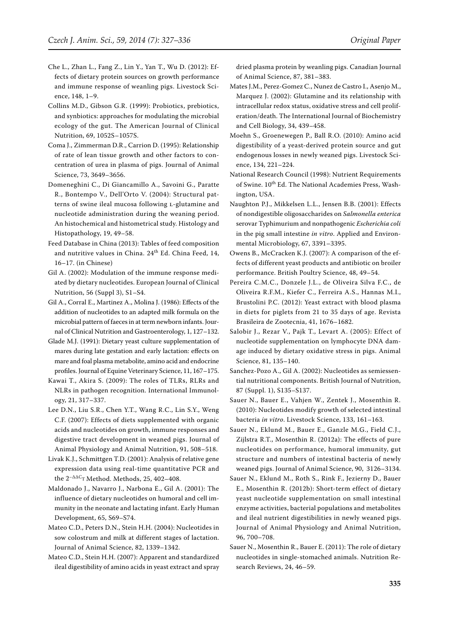- Che L., Zhan L., Fang Z., Lin Y., Yan T., Wu D. (2012): Effects of dietary protein sources on growth performance and immune response of weanling pigs. Livestock Science, 148, 1–9.
- Collins M.D., Gibson G.R. (1999): Probiotics, prebiotics, and synbiotics: approaches for modulating the microbial ecology of the gut. The American Journal of Clinical Nutrition, 69, 1052S–1057S.
- Coma J., Zimmerman D.R., Carrion D. (1995): Relationship of rate of lean tissue growth and other factors to concentration of urea in plasma of pigs. Journal of Animal Science, 73, 3649–3656.
- Domeneghini C., Di Giancamillo A., Savoini G., Paratte R., Bontempo V., Dell'Orto V. (2004): Structural patterns of swine ileal mucosa following L-glutamine and nucleotide administration during the weaning period. An histochemical and histometrical study. Histology and Histopathology, 19, 49–58.
- Feed Database in China (2013): Tables of feed composition and nutritive values in China. 24<sup>th</sup> Ed. China Feed, 14, 16–17. (in Chinese)
- Gil A. (2002): Modulation of the immune response mediated by dietary nucleotides. European Journal of Clinical Nutrition, 56 (Suppl 3), S1–S4.
- Gil A., Corral E., Martinez A., Molina J. (1986): Effects of the addition of nucleotides to an adapted milk formula on the microbial pattern of faeces in at term newborn infants. Journal of Clinical Nutrition and Gastroenterology, 1, 127–132.
- Glade M.J. (1991): Dietary yeast culture supplementation of mares during late gestation and early lactation: effects on mare and foal plasma metabolite, amino acid and endocrine profiles. Journal of Equine Veterinary Science, 11, 167–175.
- Kawai T., Akira S. (2009): The roles of TLRs, RLRs and NLRs in pathogen recognition. International Immunology, 21, 317–337.
- Lee D.N., Liu S.R., Chen Y.T., Wang R.C., Lin S.Y., Weng C.F. (2007): Effects of diets supplemented with organic acids and nucleotides on growth, immune responses and digestive tract development in weaned pigs. Journal of Animal Physiology and Animal Nutrition, 91, 508–518.
- Livak K.J., Schmittgen T.D. (2001): Analysis of relative gene expression data using real-time quantitative PCR and the  $2^{-\Delta\Delta C}$ T Method. Methods, 25, 402-408.
- Maldonado J., Navarro J., Narbona E., Gil A. (2001): The influence of dietary nucleotides on humoral and cell immunity in the neonate and lactating infant. Early Human Development, 65, S69–S74.
- Mateo C.D., Peters D.N., Stein H.H. (2004): Nucleotides in sow colostrum and milk at different stages of lactation. Journal of Animal Science, 82, 1339–1342.
- Mateo C.D., Stein H.H. (2007): Apparent and standardized ileal digestibility of amino acids in yeast extract and spray

dried plasma protein by weanling pigs. Canadian Journal of Animal Science, 87, 381–383.

- Mates J.M., Perez-Gomez C., Nunez de Castro I., Asenjo M., Marquez J. (2002): Glutamine and its relationship with intracellular redox status, oxidative stress and cell proliferation/death. The International Journal of Biochemistry and Cell Biology, 34, 439–458.
- Moehn S., Groenewegen P., Ball R.O. (2010): Amino acid digestibility of a yeast-derived protein source and gut endogenous losses in newly weaned pigs. Livestock Science, 134, 221–224.
- National Research Council (1998): Nutrient Requirements of Swine. 10th Ed. The National Academies Press, Washington, USA.
- Naughton P.J., Mikkelsen L.L., Jensen B.B. (2001): Effects of nondigestible oligosaccharides on *Salmonella enterica* serovar Typhimurium and nonpathogenic *Escherichia coli* in the pig small intestine *in vitro*. Applied and Environmental Microbiology, 67, 3391–3395.
- Owens B., McCracken K.J. (2007): A comparison of the effects of different yeast products and antibiotic on broiler performance. British Poultry Science, 48, 49–54.
- Pereira C.M.C., Donzele J.L., de Oliveira Silva F.C., de Oliveira R.F.M., Kiefer C., Ferreira A.S., Hannas M.I., Brustolini P.C. (2012): Yeast extract with blood plasma in diets for piglets from 21 to 35 days of age. Revista Brasileira de Zootecnia, 41, 1676–1682.
- Salobir J., Rezar V., Pajk T., Levart A. (2005): Effect of nucleotide supplementation on lymphocyte DNA damage induced by dietary oxidative stress in pigs. Animal Science, 81, 135–140.
- Sanchez-Pozo A., Gil A. (2002): Nucleotides as semiessential nutritional components. British Journal of Nutrition, 87 (Suppl. 1), S135–S137.
- Sauer N., Bauer E., Vahjen W., Zentek J., Mosenthin R. (2010): Nucleotides modify growth of selected intestinal bacteria *in vitro*. Livestock Science, 133, 161–163.
- Sauer N., Eklund M., Bauer E., Ganzle M.G., Field C.J., Zijlstra R.T., Mosenthin R. (2012a): The effects of pure nucleotides on performance, humoral immunity, gut structure and numbers of intestinal bacteria of newly weaned pigs. Journal of Animal Science, 90, 3126–3134.
- Sauer N., Eklund M., Roth S., Rink F., Jezierny D., Bauer E., Mosenthin R. (2012b): Short-term effect of dietary yeast nucleotide supplementation on small intestinal enzyme activities, bacterial populations and metabolites and ileal nutrient digestibilities in newly weaned pigs. Journal of Animal Physiology and Animal Nutrition, 96, 700–708.
- Sauer N., Mosenthin R., Bauer E. (2011): The role of dietary nucleotides in single-stomached animals. Nutrition Research Reviews, 24, 46–59.